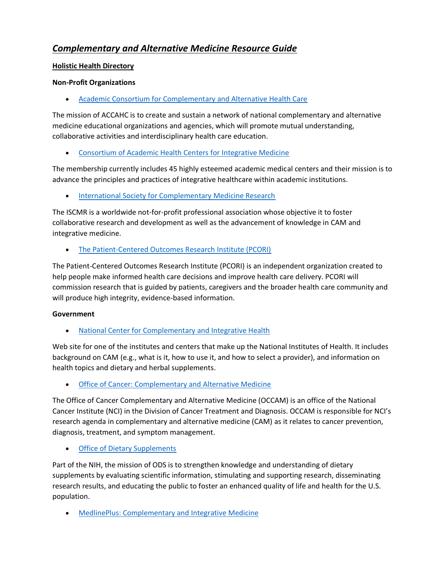# *Complementary and Alternative Medicine Resource Guide*

# **[Holistic Health Directory](https://holistichealthlink.com/)**

# **Non-Profit Organizations**

• [Academic Consortium for Complementary and Alternative Health Care](https://integrativehealth.org/)

The mission of ACCAHC is to create and sustain a network of national complementary and alternative medicine educational organizations and agencies, which will promote mutual understanding, collaborative activities and interdisciplinary health care education.

• [Consortium of Academic Health Centers for Integrative Medicine](http://www.imconsortium.org/)

The membership currently includes 45 highly esteemed academic medical centers and their mission is to advance the principles and practices of integrative healthcare within academic institutions.

• [International Society for Complementary Medicine Research](http://www.iscmr.org/)

The ISCMR is a worldwide not-for-profit professional association whose objective it to foster collaborative research and development as well as the advancement of knowledge in CAM and integrative medicine.

• The Patient-Centered [Outcomes Research Institute \(PCORI\)](http://www.pcori.org/)

The Patient-Centered Outcomes Research Institute (PCORI) is an independent organization created to help people make informed health care decisions and improve health care delivery. PCORI will commission research that is guided by patients, caregivers and the broader health care community and will produce high integrity, evidence-based information.

# **Government**

• [National Center for Complementary and Integrative Health](https://nccih.nih.gov/)

Web site for one of the institutes and centers that make up the National Institutes of Health. It includes background on CAM (e.g., what is it, how to use it, and how to select a provider), and information on health topics and dietary and herbal supplements.

• [Office of Cancer: Complementary and Alternative Medicine](https://www.cancer.gov/about-cancer/treatment/cam)

The Office of Cancer Complementary and Alternative Medicine (OCCAM) is an office of the National Cancer Institute (NCI) in the Division of Cancer Treatment and Diagnosis. OCCAM is responsible for NCI's research agenda in complementary and alternative medicine (CAM) as it relates to cancer prevention, diagnosis, treatment, and symptom management.

**[Office of Dietary Supplements](https://ods.od.nih.gov/)** 

Part of the NIH, the mission of ODS is to strengthen knowledge and understanding of dietary supplements by evaluating scientific information, stimulating and supporting research, disseminating research results, and educating the public to foster an enhanced quality of life and health for the U.S. population.

• [MedlinePlus: Complementary and Integrative Medicine](https://medlineplus.gov/complementaryandintegrativemedicine.html)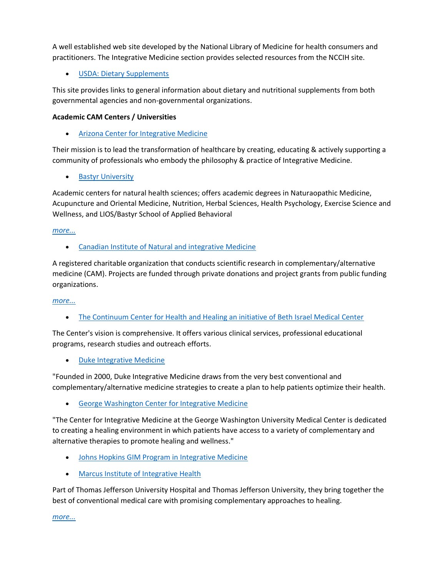A well established web site developed by the National Library of Medicine for health consumers and practitioners. The Integrative Medicine section provides selected resources from the NCCIH site.

• [USDA: Dietary Supplements](https://www.nal.usda.gov/fnic/dietary-supplements)

This site provides links to general information about dietary and nutritional supplements from both governmental agencies and non-governmental organizations.

### **Academic CAM Centers / Universities**

• [Arizona Center for Integrative Medicine](http://www.integrativemedicine.arizona.edu/)

Their mission is to lead the transformation of healthcare by creating, educating & actively supporting a community of professionals who embody the philosophy & practice of Integrative Medicine.

• [Bastyr University](http://www.bastyr.edu/)

Academic centers for natural health sciences; offers academic degrees in Naturaopathic Medicine, Acupuncture and Oriental Medicine, Nutrition, Herbal Sciences, Health Psychology, Exercise Science and Wellness, and LIOS/Bastyr School of Applied Behavioral

#### *[more...](javascript:void();)*

• [Canadian Institute of Natural and integrative Medicine](http://www.cinim.org/)

A registered charitable organization that conducts scientific research in complementary/alternative medicine (CAM). Projects are funded through private donations and project grants from public funding organizations.

#### *[more...](javascript:void();)*

• [The Continuum Center for Health and Healing an initiative of Beth Israel Medical Center](http://www.healthandhealingny.org/)

The Center's vision is comprehensive. It offers various clinical services, professional educational programs, research studies and outreach efforts.

• [Duke Integrative Medicine](http://www.dukeintegrativemedicine.org/)

"Founded in 2000, Duke Integrative Medicine draws from the very best conventional and complementary/alternative medicine strategies to create a plan to help patients optimize their health.

• [George Washington Center for Integrative Medicine](https://www.gwcim.com/)

"The Center for Integrative Medicine at the George Washington University Medical Center is dedicated to creating a healing environment in which patients have access to a variety of complementary and alternative therapies to promote healing and wellness."

- [Johns Hopkins GIM Program in Integrative Medicine](http://www.hopkinsmedicine.org/cam)
- [Marcus Institute of Integrative Health](http://marcusinstitute.jeffersonhealth.org/)

Part of Thomas Jefferson University Hospital and Thomas Jefferson University, they bring together the best of conventional medical care with promising complementary approaches to healing.

*[more...](javascript:void();)*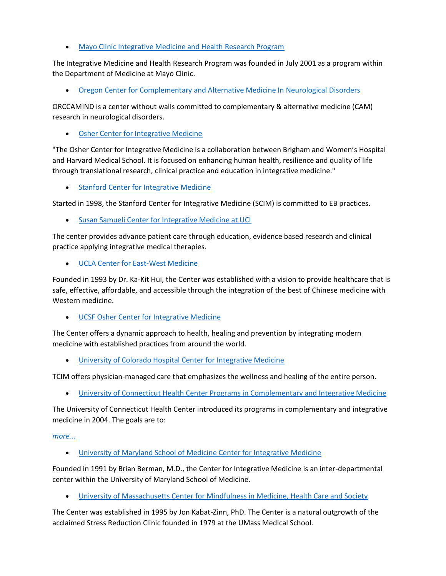• [Mayo Clinic Integrative Medicine and Health Research Program](http://mayoresearch.mayo.edu/mayo/research/cimp/)

The Integrative Medicine and Health Research Program was founded in July 2001 as a program within the Department of Medicine at Mayo Clinic.

• [Oregon Center for Complementary and Alternative Medicine In Neurological Disorders](http://www.ohsu.edu/xd/research/centers-institutes/neurology/orccamind/index.cfm)

ORCCAMIND is a center without walls committed to complementary & alternative medicine (CAM) research in neurological disorders.

• [Osher Center for Integrative Medicine](https://oshercenter.org/)

"The Osher Center for Integrative Medicine is a collaboration between Brigham and Women's Hospital and Harvard Medical School. It is focused on enhancing human health, resilience and quality of life through translational research, clinical practice and education in integrative medicine."

[Stanford Center for Integrative Medicine](https://stanfordhealthcare.org/medical-clinics/integrative-medicine-center.html)

Started in 1998, the Stanford Center for Integrative Medicine (SCIM) is committed to EB practices.

• [Susan Samueli Center for Integrative Medicine at UCI](http://www.sscim.uci.edu/)

The center provides advance patient care through education, evidence based research and clinical practice applying integrative medical therapies.

• [UCLA Center for East-West Medicine](http://www.cewm.med.ucla.edu/)

Founded in 1993 by Dr. Ka-Kit Hui, the Center was established with a vision to provide healthcare that is safe, effective, affordable, and accessible through the integration of the best of Chinese medicine with Western medicine.

• [UCSF Osher Center for Integrative Medicine](http://www.osher.ucsf.edu/)

The Center offers a dynamic approach to health, healing and prevention by integrating modern medicine with established practices from around the world.

• [University of Colorado Hospital Center for Integrative Medicine](https://www.uchealth.org/services/integrative-medicine/)

TCIM offers physician-managed care that emphasizes the wellness and healing of the entire person.

• [University of Connecticut Health Center Programs in Complementary and Integrative Medicine](http://picim.uchc.edu/)

The University of Connecticut Health Center introduced its programs in complementary and integrative medicine in 2004. The goals are to:

#### *[more...](javascript:void();)*

• [University of Maryland School of Medicine Center for Integrative Medicine](http://cim.umaryland.edu/)

Founded in 1991 by Brian Berman, M.D., the Center for Integrative Medicine is an inter-departmental center within the University of Maryland School of Medicine.

• [University of Massachusetts Center for Mindfulness in Medicine, Health Care and Society](https://www.umassmed.edu/cfm/)

The Center was established in 1995 by Jon Kabat-Zinn, PhD. The Center is a natural outgrowth of the acclaimed Stress Reduction Clinic founded in 1979 at the UMass Medical School.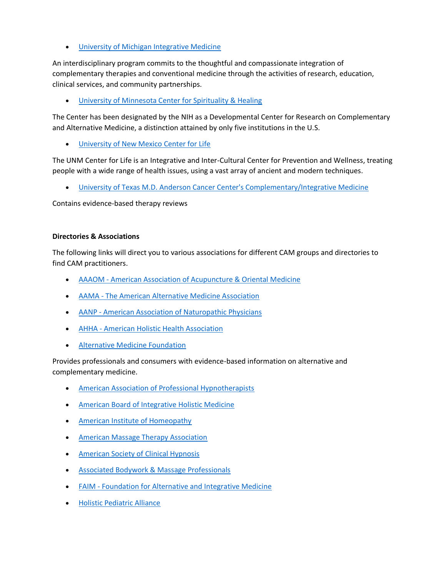• [University of Michigan Integrative Medicine](http://www.med.umich.edu/umim/)

An interdisciplinary program commits to the thoughtful and compassionate integration of complementary therapies and conventional medicine through the activities of research, education, clinical services, and community partnerships.

• [University of Minnesota Center for Spirituality & Healing](http://www.csh.umn.edu/)

The Center has been designated by the NIH as a Developmental Center for Research on Complementary and Alternative Medicine, a distinction attained by only five institutions in the U.S.

• [University of New Mexico Center for Life](https://hsc.unm.edu/health/patient-care/integrative-medicine/)

The UNM Center for Life is an Integrative and Inter-Cultural Center for Prevention and Wellness, treating people with a wide range of health issues, using a vast array of ancient and modern techniques.

• [University of Texas M.D. Anderson Cancer Center's Complementary/Integrative Medicine](http://www.mdanderson.org/education-and-research/departments-programs-and-labs/programs-centers-institutes/integrative-medicine-program/index.html)

Contains evidence-based therapy reviews

#### **Directories & Associations**

The following links will direct you to various associations for different CAM groups and directories to find CAM practitioners.

- AAAOM [American Association of Acupuncture & Oriental Medicine](http://www.aaaomonline.org/)
- AAMA [The American Alternative Medicine Association](http://www.joinaama.com/)
- AANP [American Association of Naturopathic Physicians](http://www.naturopathic.org/)
- AHHA [American Holistic Health Association](http://www.ahha.org/)
- [Alternative Medicine Foundation](http://www.amfoundation.org/)

Provides professionals and consumers with evidence-based information on alternative and complementary medicine.

- [American Association of Professional Hypnotherapists](http://aaph.org/)
- [American Board of Integrative Holistic Medicine](http://www.abihm.org/)
- [American Institute of Homeopathy](http://www.homeopathyusa.org/)
- [American Massage Therapy Association](http://www.amtamassage.org/index.html)
- [American Society of Clinical Hypnosis](http://www.asch.net/)
- [Associated Bodywork & Massage Professionals](http://www.abmp.com/)
- FAIM [Foundation for Alternative and Integrative Medicine](http://www.faim.org/resources.html)
- [Holistic Pediatric Alliance](http://hpakids.org/)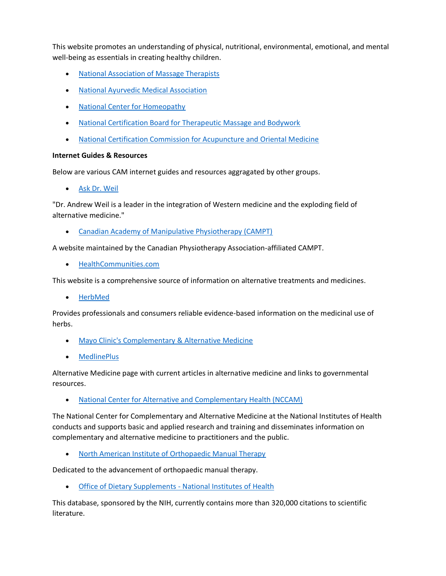This website promotes an understanding of physical, nutritional, environmental, emotional, and mental well-being as essentials in creating healthy children.

- [National Association of Massage Therapists](http://namtonline.com/)
- [National Ayurvedic Medical Association](http://www.ayurvedanama.org/)
- [National Center for Homeopathy](http://www.nationalcenterforhomeopathy.org/)
- [National Certification Board for Therapeutic Massage and Bodywork](http://www.ncbtmb.org/)
- [National Certification Commission for Acupuncture and Oriental Medicine](http://www.nccaom.org/)

#### **Internet Guides & Resources**

Below are various CAM internet guides and resources aggragated by other groups.

• [Ask Dr. Weil](http://drweil.com/)

"Dr. Andrew Weil is a leader in the integration of Western medicine and the exploding field of alternative medicine."

• [Canadian Academy of Manipulative Physiotherapy \(CAMPT\)](http://manippt.org/)

A website maintained by the Canadian Physiotherapy Association-affiliated CAMPT.

• [HealthCommunities.com](http://www.healthcommunities.com/)

This website is a comprehensive source of information on alternative treatments and medicines.

• [HerbMed](http://www.herbmed.org/)

Provides professionals and consumers reliable evidence-based information on the medicinal use of herbs.

- [Mayo Clinic's Complementary & Alternative Medicine](http://www.mayoclinic.com/health/alternative-medicine/PN00001)
- [MedlinePlus](http://www.nlm.nih.gov/medlineplus/complementaryandalternativemedicine.html)

Alternative Medicine page with current articles in alternative medicine and links to governmental resources.

• [National Center for Alternative and Complementary Health \(NCCAM\)](http://nccam.nih.gov/)

The National Center for Complementary and Alternative Medicine at the National Institutes of Health conducts and supports basic and applied research and training and disseminates information on complementary and alternative medicine to practitioners and the public.

• [North American Institute of Orthopaedic Manual Therapy](http://www.naiomt.com/)

Dedicated to the advancement of orthopaedic manual therapy.

**[Office of Dietary Supplements -](https://ods.od.nih.gov/) National Institutes of Health** 

This database, sponsored by the NIH, currently contains more than 320,000 citations to scientific literature.